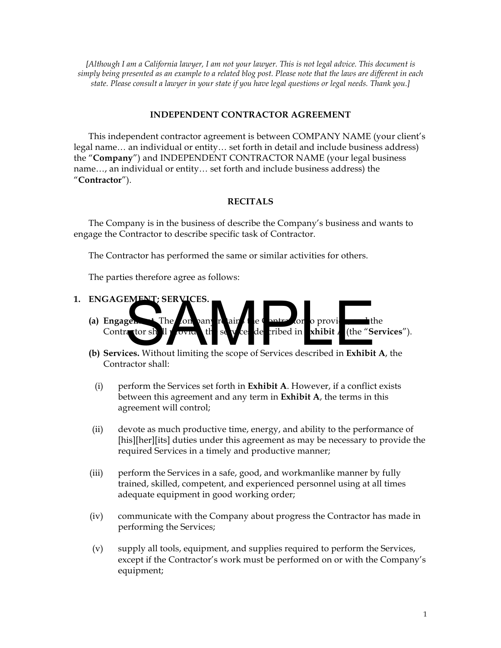*[Although I am a California lawyer, I am not your lawyer. This is not legal advice. This document is simply being presented as an example to a related blog post. Please note that the laws are different in each state. Please consult a lawyer in your state if you have legal questions or legal needs. Thank you.]*

#### **INDEPENDENT CONTRACTOR AGREEMENT**

This independent contractor agreement is between COMPANY NAME (your client's legal name… an individual or entity… set forth in detail and include business address) the "**Company**") and INDEPENDENT CONTRACTOR NAME (your legal business name…, an individual or entity… set forth and include business address) the "**Contractor**").

#### **RECITALS**

The Company is in the business of describe the Company's business and wants to engage the Contractor to describe specific task of Contractor.

The Contractor has performed the same or similar activities for others.

The parties therefore agree as follows:

- **1. ENGAGEMENT; SERVICES.** 
	- (a) **Engage** Contractor sh<sup>ll p</sup>rovide, the services described in **Exhibit A** (the "Services"). (a) Engage. The on pany required in **SERVICES.**<br>
	Contractor sh II covid the scope of Services described in **Exhibit A**, the (b) Services. Without limiting the scope of Services described in **Exhibit A**, the
	- Contractor shall:
	- (i) perform the Services set forth in **Exhibit A**. However, if a conflict exists between this agreement and any term in **Exhibit A**, the terms in this agreement will control;
	- (ii) devote as much productive time, energy, and ability to the performance of [his][her][its] duties under this agreement as may be necessary to provide the required Services in a timely and productive manner;
	- (iii) perform the Services in a safe, good, and workmanlike manner by fully trained, skilled, competent, and experienced personnel using at all times adequate equipment in good working order;
	- (iv) communicate with the Company about progress the Contractor has made in performing the Services;
	- (v) supply all tools, equipment, and supplies required to perform the Services, except if the Contractor's work must be performed on or with the Company's equipment;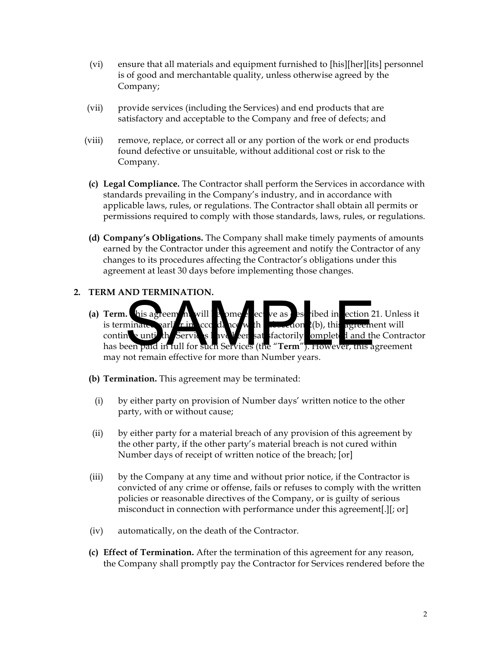- (vi) ensure that all materials and equipment furnished to [his][her][its] personnel is of good and merchantable quality, unless otherwise agreed by the Company;
- (vii) provide services (including the Services) and end products that are satisfactory and acceptable to the Company and free of defects; and
- (viii) remove, replace, or correct all or any portion of the work or end products found defective or unsuitable, without additional cost or risk to the Company.
- **(c) Legal Compliance.** The Contractor shall perform the Services in accordance with standards prevailing in the Company's industry, and in accordance with applicable laws, rules, or regulations. The Contractor shall obtain all permits or permissions required to comply with those standards, laws, rules, or regulations.
- **(d) Company's Obligations.** The Company shall make timely payments of amounts earned by the Contractor under this agreement and notify the Contractor of any changes to its procedures affecting the Contractor's obligations under this agreement at least 30 days before implementing those changes.

# **2. TERM AND TERMINATION.**

- **(a) Term.** his agreem in will be ome effective as est ribed in ection 21. Unless it is terminance earlier in  $\int_{\alpha}$  accordance with subsection 2(b), this agreement will continuo until the Services have been satisfactorily completed and the Contractor has been paid in full for such Services (the "**Term**"). However, this agreement may not remain effective for more than Number years. This agreem in will a bme the community of the state of the state of the state of the state of the state of the state of the state of the state of the state of the state of the state of the state of the state of the state
- **(b) Termination.** This agreement may be terminated:
	- (i) by either party on provision of Number days' written notice to the other party, with or without cause;
- (ii) by either party for a material breach of any provision of this agreement by the other party, if the other party's material breach is not cured within Number days of receipt of written notice of the breach; [or]
- (iii) by the Company at any time and without prior notice, if the Contractor is convicted of any crime or offense, fails or refuses to comply with the written policies or reasonable directives of the Company, or is guilty of serious misconduct in connection with performance under this agreement[.][; or]
- (iv) automatically, on the death of the Contractor.
- **(c) Effect of Termination.** After the termination of this agreement for any reason, the Company shall promptly pay the Contractor for Services rendered before the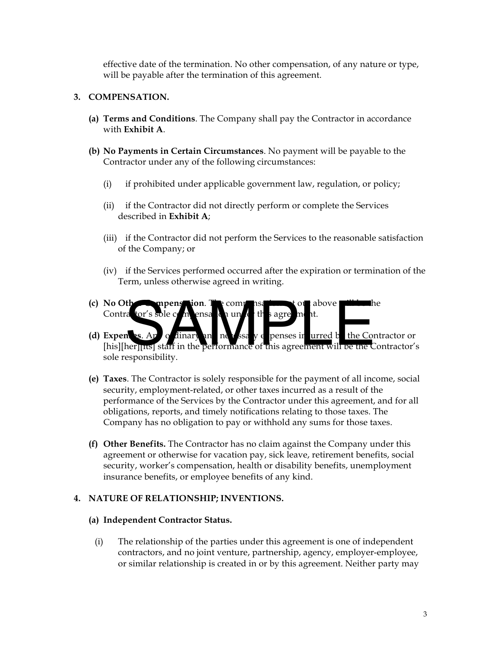effective date of the termination. No other compensation, of any nature or type, will be payable after the termination of this agreement.

## **3. COMPENSATION.**

- **(a) Terms and Conditions**. The Company shall pay the Contractor in accordance with **Exhibit A**.
- **(b) No Payments in Certain Circumstances**. No payment will be payable to the Contractor under any of the following circumstances:
	- (i) if prohibited under applicable government law, regulation, or policy;
	- (ii) if the Contractor did not directly perform or complete the Services described in **Exhibit A**;
	- (iii) if the Contractor did not perform the Services to the reasonable satisfaction of the Company; or
	- (iv) if the Services performed occurred after the expiration or termination of the Term, unless otherwise agreed in writing.
- **(c) No Otherce in pensation. The compensation set out above will be the** Contra tor's sole c
- **(d) Expenses.** Any ordinary and necessary expenses in urred by the Contractor or [his][her][its] staff in the performance of this agreement will be the Contractor's sole responsibility. the company of the company of the company of the company of the company of the company of the company of the company of the company of the company of the company of the company of the company of the company of this agreeme
- **(e) Taxes**. The Contractor is solely responsible for the payment of all income, social security, employment-related, or other taxes incurred as a result of the performance of the Services by the Contractor under this agreement, and for all obligations, reports, and timely notifications relating to those taxes. The Company has no obligation to pay or withhold any sums for those taxes.
- **(f) Other Benefits.** The Contractor has no claim against the Company under this agreement or otherwise for vacation pay, sick leave, retirement benefits, social security, worker's compensation, health or disability benefits, unemployment insurance benefits, or employee benefits of any kind.

#### **4. NATURE OF RELATIONSHIP; INVENTIONS.**

#### **(a) Independent Contractor Status.**

(i) The relationship of the parties under this agreement is one of independent contractors, and no joint venture, partnership, agency, employer-employee, or similar relationship is created in or by this agreement. Neither party may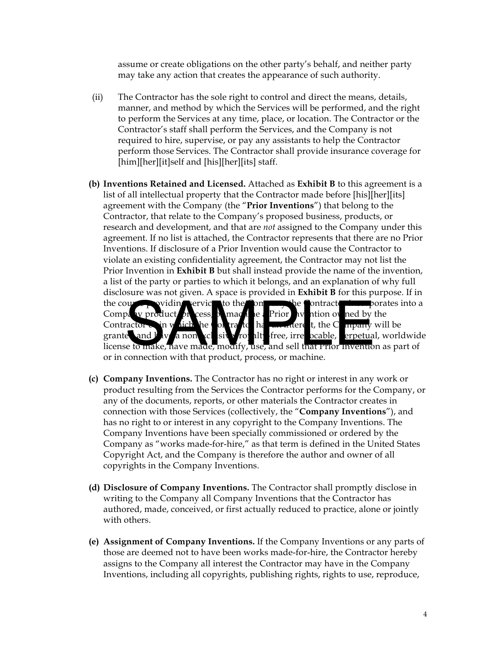assume or create obligations on the other party's behalf, and neither party may take any action that creates the appearance of such authority.

- (ii) The Contractor has the sole right to control and direct the means, details, manner, and method by which the Services will be performed, and the right to perform the Services at any time, place, or location. The Contractor or the Contractor's staff shall perform the Services, and the Company is not required to hire, supervise, or pay any assistants to help the Contractor perform those Services. The Contractor shall provide insurance coverage for [him][her][it]self and [his][her][its] staff.
- **(b) Inventions Retained and Licensed.** Attached as **Exhibit B** to this agreement is a list of all intellectual property that the Contractor made before [his][her][its] agreement with the Company (the "**Prior Inventions**") that belong to the Contractor, that relate to the Company's proposed business, products, or research and development, and that are *not* assigned to the Company under this agreement. If no list is attached, the Contractor represents that there are no Prior Inventions. If disclosure of a Prior Invention would cause the Contractor to violate an existing confidentiality agreement, the Contractor may not list the Prior Invention in **Exhibit B** but shall instead provide the name of the invention, a list of the party or parties to which it belongs, and an explanation of why full disclosure was not given. A space is provided in **Exhibit B** for this purpose. If in the course providing services to the Company the Contractor incorporates into a Company product of cess,  $\lambda$  machine a Prior Invention of ned by the Contractor  $\infty$  in which the contractor has an interest, the Company will be granted and  $\frac{1}{2}$  v  $\frac{1}{2}$  nonexclusive  $\frac{1}{2}$  free, irrevocable, erpetual, worldwide license to make, have made, modify, use, and sell that Prior Invention as part of or in connection with that product, process, or machine. Note that the contract of the part of the contract of the part of the contract of the contract of the contract of the contract of the contract of the contract of the contract of the contract of the contract of the contract
- **(c) Company Inventions.** The Contractor has no right or interest in any work or product resulting from the Services the Contractor performs for the Company, or any of the documents, reports, or other materials the Contractor creates in connection with those Services (collectively, the "**Company Inventions**"), and has no right to or interest in any copyright to the Company Inventions. The Company Inventions have been specially commissioned or ordered by the Company as "works made-for-hire," as that term is defined in the United States Copyright Act, and the Company is therefore the author and owner of all copyrights in the Company Inventions.
- **(d) Disclosure of Company Inventions.** The Contractor shall promptly disclose in writing to the Company all Company Inventions that the Contractor has authored, made, conceived, or first actually reduced to practice, alone or jointly with others.
- **(e) Assignment of Company Inventions.** If the Company Inventions or any parts of those are deemed not to have been works made-for-hire, the Contractor hereby assigns to the Company all interest the Contractor may have in the Company Inventions, including all copyrights, publishing rights, rights to use, reproduce,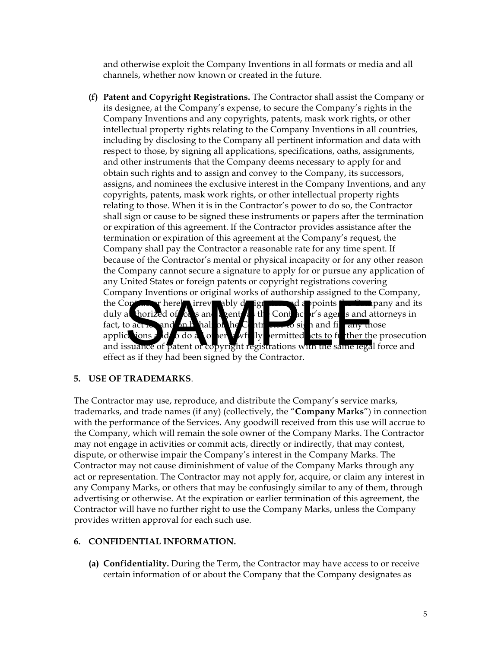and otherwise exploit the Company Inventions in all formats or media and all channels, whether now known or created in the future.

**(f) Patent and Copyright Registrations.** The Contractor shall assist the Company or its designee, at the Company's expense, to secure the Company's rights in the Company Inventions and any copyrights, patents, mask work rights, or other intellectual property rights relating to the Company Inventions in all countries, including by disclosing to the Company all pertinent information and data with respect to those, by signing all applications, specifications, oaths, assignments, and other instruments that the Company deems necessary to apply for and obtain such rights and to assign and convey to the Company, its successors, assigns, and nominees the exclusive interest in the Company Inventions, and any copyrights, patents, mask work rights, or other intellectual property rights relating to those. When it is in the Contractor's power to do so, the Contractor shall sign or cause to be signed these instruments or papers after the termination or expiration of this agreement. If the Contractor provides assistance after the termination or expiration of this agreement at the Company's request, the Company shall pay the Contractor a reasonable rate for any time spent. If because of the Contractor's mental or physical incapacity or for any other reason the Company cannot secure a signature to apply for or pursue any application of any United States or foreign patents or copyright registrations covering Company Inventions or original works of authorship assigned to the Company, the Contractor hereby irrevel appoints the Contractor hereby and its duly a horized of case and appoints the Contractor of sage is and attorneys in duly at thorized of  $\cos$  and a gents at  $\sin$  Contractor's agents and attorneys in fact, to act  $\epsilon$  and on behalf of the Contractor of sign and file any those applications and to do all other a with ly permitted  $\frac{1}{x}$  cts to further the prosecution and issuance of patent or copyright registrations with the same legal force and effect as if they had been signed by the Contractor. or thorized of cas and spoints the contract of the contract of the contract of the contract of the contract or the contract or the contract or the space of patent or copyright registrations with the same legal as if they h

# **5. USE OF TRADEMARKS**.

The Contractor may use, reproduce, and distribute the Company's service marks, trademarks, and trade names (if any) (collectively, the "**Company Marks**") in connection with the performance of the Services. Any goodwill received from this use will accrue to the Company, which will remain the sole owner of the Company Marks. The Contractor may not engage in activities or commit acts, directly or indirectly, that may contest, dispute, or otherwise impair the Company's interest in the Company Marks. The Contractor may not cause diminishment of value of the Company Marks through any act or representation. The Contractor may not apply for, acquire, or claim any interest in any Company Marks, or others that may be confusingly similar to any of them, through advertising or otherwise. At the expiration or earlier termination of this agreement, the Contractor will have no further right to use the Company Marks, unless the Company provides written approval for each such use.

# **6. CONFIDENTIAL INFORMATION.**

**(a) Confidentiality.** During the Term, the Contractor may have access to or receive certain information of or about the Company that the Company designates as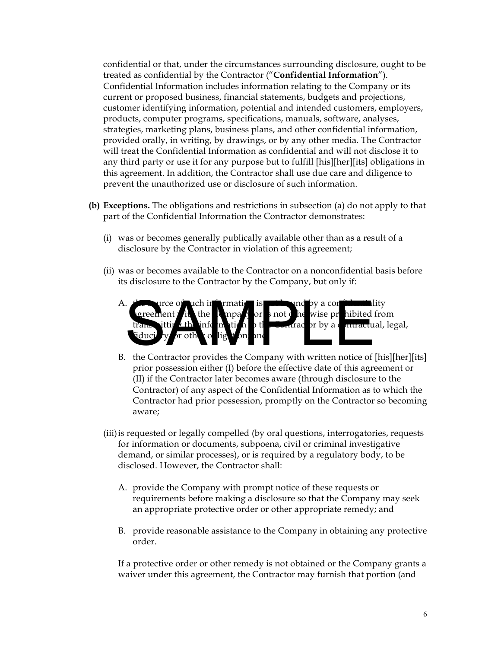confidential or that, under the circumstances surrounding disclosure, ought to be treated as confidential by the Contractor ("**Confidential Information**"). Confidential Information includes information relating to the Company or its current or proposed business, financial statements, budgets and projections, customer identifying information, potential and intended customers, employers, products, computer programs, specifications, manuals, software, analyses, strategies, marketing plans, business plans, and other confidential information, provided orally, in writing, by drawings, or by any other media. The Contractor will treat the Confidential Information as confidential and will not disclose it to any third party or use it for any purpose but to fulfill [his][her][its] obligations in this agreement. In addition, the Contractor shall use due care and diligence to prevent the unauthorized use or disclosure of such information.

- **(b) Exceptions.** The obligations and restrictions in subsection (a) do not apply to that part of the Confidential Information the Contractor demonstrates:
	- (i) was or becomes generally publically available other than as a result of a disclosure by the Contractor in violation of this agreement;
	- (ii) was or becomes available to the Contractor on a nonconfidential basis before its disclosure to the Contractor by the Company, but only if:
		- A.  $t^2$  as surce of uch information is **not** by a confidentiality the  $\Gamma$  mpa $\Gamma$  or  $\Gamma$  not  $\Gamma$  he wise prohibited from  $\alpha$  fractor by a contractual, legal,  $\frac{d}{dx}$  or other orbits that  $\frac{d}{dx}$  is the set of the set of the set of the set of the set of the set of the set of the set of the set of the set of the set of the set of the set of the set of the set of the set of t A. the Contractor provides the Company with written notice of [his][her][its]
		B. the Contractor provides the Company with written notice of [his][her][its]
		- prior possession either (I) before the effective date of this agreement or (II) if the Contractor later becomes aware (through disclosure to the Contractor) of any aspect of the Confidential Information as to which the Contractor had prior possession, promptly on the Contractor so becoming aware;
	- (iii) is requested or legally compelled (by oral questions, interrogatories, requests for information or documents, subpoena, civil or criminal investigative demand, or similar processes), or is required by a regulatory body, to be disclosed. However, the Contractor shall:
		- A. provide the Company with prompt notice of these requests or requirements before making a disclosure so that the Company may seek an appropriate protective order or other appropriate remedy; and
		- B. provide reasonable assistance to the Company in obtaining any protective order.

 If a protective order or other remedy is not obtained or the Company grants a waiver under this agreement, the Contractor may furnish that portion (and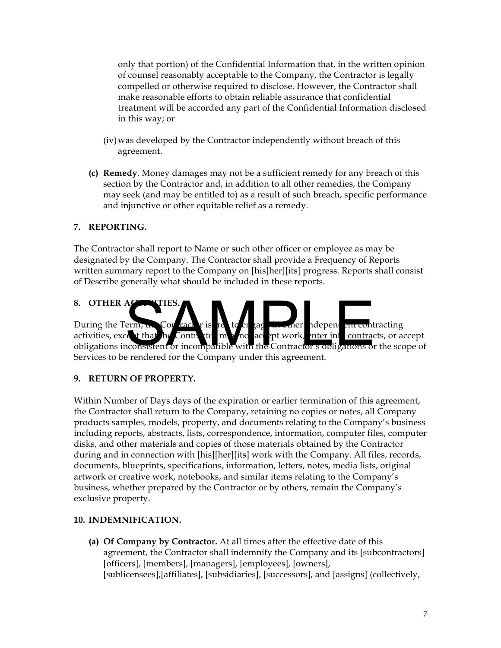only that portion) of the Confidential Information that, in the written opinion of counsel reasonably acceptable to the Company, the Contractor is legally compelled or otherwise required to disclose. However, the Contractor shall make reasonable efforts to obtain reliable assurance that confidential treatment will be accorded any part of the Confidential Information disclosed in this way; or

- (iv)was developed by the Contractor independently without breach of this agreement.
- **(c) Remedy**. Money damages may not be a sufficient remedy for any breach of this section by the Contractor and, in addition to all other remedies, the Company may seek (and may be entitled to) as a result of such breach, specific performance and injunctive or other equitable relief as a remedy.

# **7. REPORTING.**

The Contractor shall report to Name or such other officer or employee as may be designated by the Company. The Contractor shall provide a Frequency of Reports written summary report to the Company on [his]her][its] progress. Reports shall consist of Describe generally what should be included in these reports.

8. **OTHER AG** During the Term,  $\mathbf{t}_{\text{in}}$  Contract  $\mathbf{r}$  is  $\mathbf{r}$  to engage in contracting in contracting activities, except that he Contractor may no accept work, inter into contracts, or accept obligations inconsistent or incompatible with the Contractor's obligations or the scope of Services to be rendered for the Company under this agreement. A<br>
Serm, R. Cor rack r is re to er zag modern dependent contract that he Contributed in the contract or incompatible with the Contractor's obligations of<br>
accept work, there in contract is a present to the Company under th

# **9. RETURN OF PROPERTY.**

Within Number of Days days of the expiration or earlier termination of this agreement, the Contractor shall return to the Company, retaining no copies or notes, all Company products samples, models, property, and documents relating to the Company's business including reports, abstracts, lists, correspondence, information, computer files, computer disks, and other materials and copies of those materials obtained by the Contractor during and in connection with [his][her][its] work with the Company. All files, records, documents, blueprints, specifications, information, letters, notes, media lists, original artwork or creative work, notebooks, and similar items relating to the Company's business, whether prepared by the Contractor or by others, remain the Company's exclusive property.

# **10. INDEMNIFICATION.**

**(a) Of Company by Contractor.** At all times after the effective date of this agreement, the Contractor shall indemnify the Company and its [subcontractors] [officers], [members], [managers], [employees], [owners], [sublicensees],[affiliates], [subsidiaries], [successors], and [assigns] (collectively,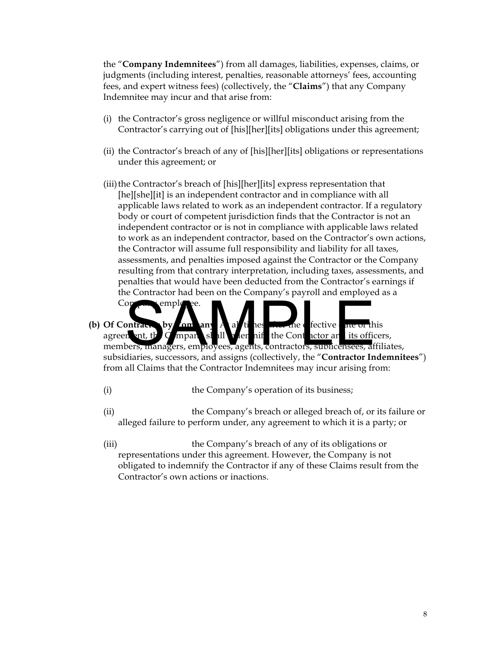the "**Company Indemnitees**") from all damages, liabilities, expenses, claims, or judgments (including interest, penalties, reasonable attorneys' fees, accounting fees, and expert witness fees) (collectively, the "**Claims**") that any Company Indemnitee may incur and that arise from:

- (i) the Contractor's gross negligence or willful misconduct arising from the Contractor's carrying out of [his][her][its] obligations under this agreement;
- (ii) the Contractor's breach of any of [his][her][its] obligations or representations under this agreement; or
- (iii) the Contractor's breach of [his][her][its] express representation that [he][she][it] is an independent contractor and in compliance with all applicable laws related to work as an independent contractor. If a regulatory body or court of competent jurisdiction finds that the Contractor is not an independent contractor or is not in compliance with applicable laws related to work as an independent contractor, based on the Contractor's own actions, the Contractor will assume full responsibility and liability for all taxes, assessments, and penalties imposed against the Contractor or the Company resulting from that contrary interpretation, including taxes, assessments, and penalties that would have been deducted from the Contractor's earnings if the Contractor had been on the Company's payroll and employed as a
- **(b)** Of Contractor by Company A all times are defective at this agreem ant, the Company shall independent the Contractor and its officers, members, managers, employees, agents, contractors, sublicensees, affiliates, subsidiaries, successors, and assigns (collectively, the "**Contractor Indemnitees**") from all Claims that the Contractor Indemnitees may incur arising from: on employee.<br>
In the the Contractor are the Contractor and the Contractor are the Contractor are the Contractor are the Contractor are the Contractor are the Contractor are the Contractor of the Contractor of the diaries.
	- (i) the Company's operation of its business;

 $\text{Comp}_n$  employees.

- (ii) the Company's breach or alleged breach of, or its failure or alleged failure to perform under, any agreement to which it is a party; or
- (iii) the Company's breach of any of its obligations or representations under this agreement. However, the Company is not obligated to indemnify the Contractor if any of these Claims result from the Contractor's own actions or inactions.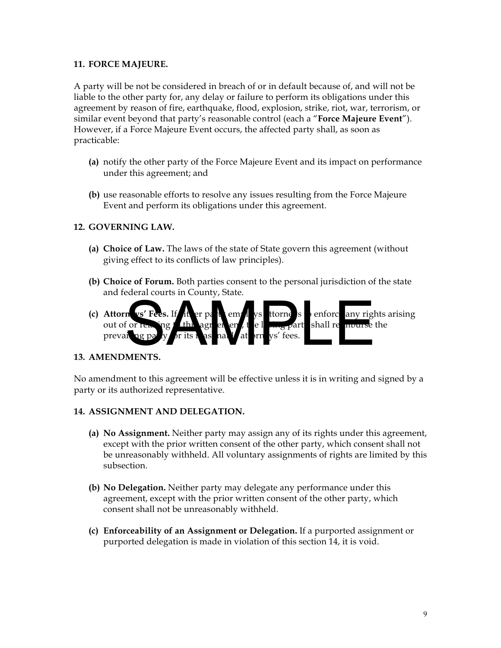## **11. FORCE MAJEURE.**

A party will be not be considered in breach of or in default because of, and will not be liable to the other party for, any delay or failure to perform its obligations under this agreement by reason of fire, earthquake, flood, explosion, strike, riot, war, terrorism, or similar event beyond that party's reasonable control (each a "**Force Majeure Event**"). However, if a Force Majeure Event occurs, the affected party shall, as soon as practicable:

- **(a)** notify the other party of the Force Majeure Event and its impact on performance under this agreement; and
- **(b)** use reasonable efforts to resolve any issues resulting from the Force Majeure Event and perform its obligations under this agreement.

# **12. GOVERNING LAW.**

- **(a) Choice of Law.** The laws of the state of State govern this agreement (without giving effect to its conflicts of law principles).
- **(b) Choice of Forum.** Both parties consent to the personal jurisdiction of the state and federal courts in County, State.
- **(c) Attorn**  $vs'$  Fees. If it er part employs to to the state enforce any rights arising out of or remaing the latter agreement, the loss party shall reimburse the prevailing party for its reasonable attorneys' fees. n vs' Fees. If it er pa de emplys ttorne s enforc any right or render to the lagred of the lagred of the lagred of the lagred of the lagred of the lagred of the lagred of the lagred of the lagred of the lagred of the lagre

#### **13. AMENDMENTS.**

No amendment to this agreement will be effective unless it is in writing and signed by a party or its authorized representative.

#### **14. ASSIGNMENT AND DELEGATION.**

- **(a) No Assignment.** Neither party may assign any of its rights under this agreement, except with the prior written consent of the other party, which consent shall not be unreasonably withheld. All voluntary assignments of rights are limited by this subsection.
- **(b) No Delegation.** Neither party may delegate any performance under this agreement, except with the prior written consent of the other party, which consent shall not be unreasonably withheld.
- **(c) Enforceability of an Assignment or Delegation.** If a purported assignment or purported delegation is made in violation of this section 14, it is void.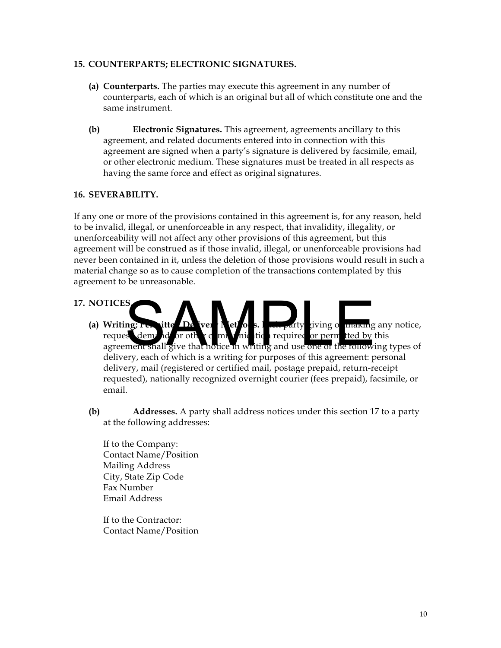#### **15. COUNTERPARTS; ELECTRONIC SIGNATURES.**

- **(a) Counterparts.** The parties may execute this agreement in any number of counterparts, each of which is an original but all of which constitute one and the same instrument.
- **(b) Electronic Signatures.** This agreement, agreements ancillary to this agreement, and related documents entered into in connection with this agreement are signed when a party's signature is delivered by facsimile, email, or other electronic medium. These signatures must be treated in all respects as having the same force and effect as original signatures.

#### **16. SEVERABILITY.**

If any one or more of the provisions contained in this agreement is, for any reason, held to be invalid, illegal, or unenforceable in any respect, that invalidity, illegality, or unenforceability will not affect any other provisions of this agreement, but this agreement will be construed as if those invalid, illegal, or unenforceable provisions had never been contained in it, unless the deletion of those provisions would result in such a material change so as to cause completion of the transactions contemplated by this agreement to be unreasonable.

#### **17. NOTICES.**

- **(a) Writing; Permitted Delivery Methods.** Extending any notice, request, demand, or other communication required or permitted by this agreement shall give that notice in writing and use one of the following types of delivery, each of which is a writing for purposes of this agreement: personal delivery, mail (registered or certified mail, postage prepaid, return-receipt requested), nationally recognized overnight courier (fees prepaid), facsimile, or email. S<br>S demand or other communications. I was party giving or making<br>ment shall give that notice in writing and use one of the following<br>erv, each of which is a writing for purposes of this agreement:
- **(b) Addresses.** A party shall address notices under this section 17 to a party at the following addresses:

If to the Company: Contact Name/Position Mailing Address City, State Zip Code Fax Number Email Address

If to the Contractor: Contact Name/Position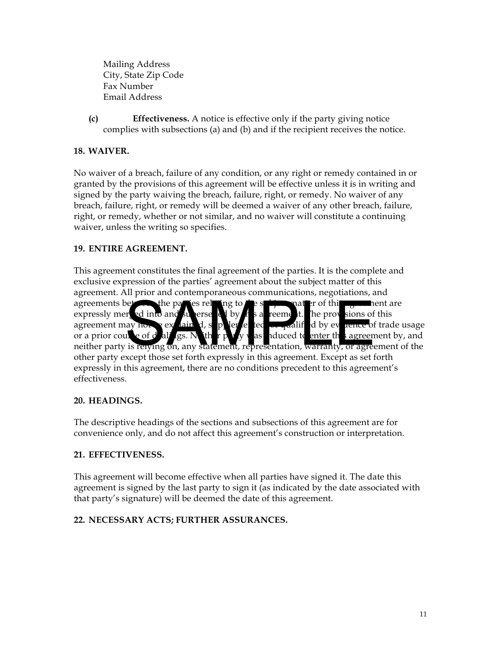Mailing Address City, State Zip Code Fax Number Email Address

**(c) Effectiveness.** A notice is effective only if the party giving notice complies with subsections (a) and (b) and if the recipient receives the notice.

# **18. WAIVER.**

No waiver of a breach, failure of any condition, or any right or remedy contained in or granted by the provisions of this agreement will be effective unless it is in writing and signed by the party waiving the breach, failure, right, or remedy. No waiver of any breach, failure, right, or remedy will be deemed a waiver of any other breach, failure, right, or remedy, whether or not similar, and no waiver will constitute a continuing waiver, unless the writing so specifies.

# **19. ENTIRE AGREEMENT.**

This agreement constitutes the final agreement of the parties. It is the complete and exclusive expression of the parties' agreement about the subject matter of this agreement. All prior and contemporaneous communications, negotiations, and agreements between the parties relating to the subject matter of this agreement are expressly mere ed into and superseded by  $t$  is a reement. The provisions of this agreement may not be explained, supplement of trade usage or a prior course of dealings. Neither party was induced to enter this agreement by, and neither party is relying on, any statement, representation, warranty, or agreement of the other party except those set forth expressly in this agreement. Except as set forth expressly in this agreement, there are no conditions precedent to this agreement's effectiveness. external into and the parties of the property of the property of the property of the property of the property of the property of the property of the property of the property of the property of the property of the property

# **20. HEADINGS.**

The descriptive headings of the sections and subsections of this agreement are for convenience only, and do not affect this agreement's construction or interpretation.

# **21. EFFECTIVENESS.**

This agreement will become effective when all parties have signed it. The date this agreement is signed by the last party to sign it (as indicated by the date associated with that party's signature) will be deemed the date of this agreement.

# **22. NECESSARY ACTS; FURTHER ASSURANCES.**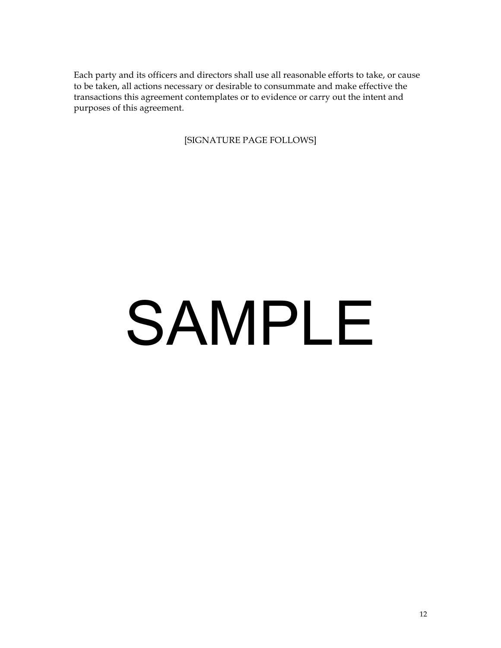Each party and its officers and directors shall use all reasonable efforts to take, or cause to be taken, all actions necessary or desirable to consummate and make effective the transactions this agreement contemplates or to evidence or carry out the intent and purposes of this agreement.

[SIGNATURE PAGE FOLLOWS]

# SAMPLE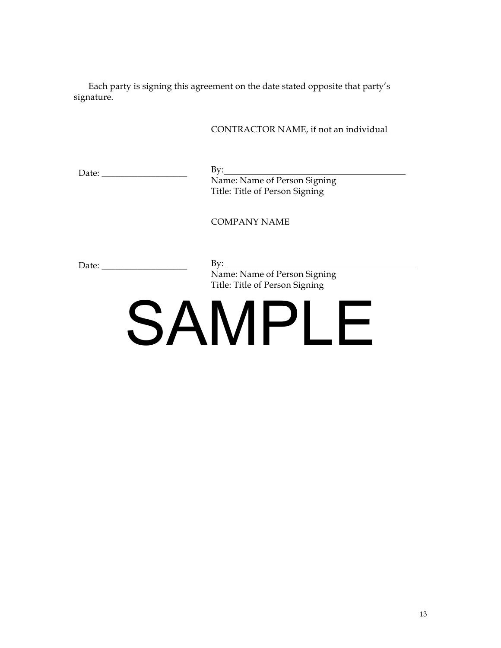Each party is signing this agreement on the date stated opposite that party's signature.

|                                                                                                                                                                                                                                | CONTRACTOR NAME, if not an individual                                                       |
|--------------------------------------------------------------------------------------------------------------------------------------------------------------------------------------------------------------------------------|---------------------------------------------------------------------------------------------|
|                                                                                                                                                                                                                                | By: Name: Name of Person Signing<br>Title: Title of Person Signing                          |
|                                                                                                                                                                                                                                | COMPANY NAME                                                                                |
| Date: the contract of the contract of the contract of the contract of the contract of the contract of the contract of the contract of the contract of the contract of the contract of the contract of the contract of the cont | $\mathbf{B} \mathbf{y}$ :<br>Name: Name of Person Signing<br>Title: Title of Person Signing |
|                                                                                                                                                                                                                                | SAMPLE                                                                                      |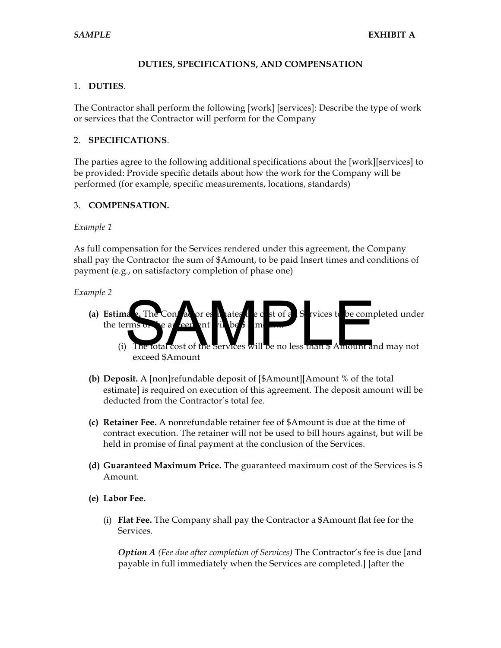### **DUTIES, SPECIFICATIONS, AND COMPENSATION**

## 1. **DUTIES**.

The Contractor shall perform the following [work] [services]: Describe the type of work or services that the Contractor will perform for the Company

#### 2. **SPECIFICATIONS**.

The parties agree to the following additional specifications about the [work][services] to be provided: Provide specific details about how the work for the Company will be performed (for example, specific measurements, locations, standards)

# 3. **COMPENSATION.**

#### *Example 1*

As full compensation for the Services rendered under this agreement, the Company shall pay the Contractor the sum of \$Amount, to be paid Insert times and conditions of payment (e.g., on satisfactory completion of phase one)

#### *Example 2*

- (a) **Estimate.** The Contractor estimates the c st of all S rvices to be completed under the terms The Contrat or est du des ties et of a S rvices te be comprens or eau een ent du best manus S rvices te be compre
	- (i) The total cost of the Services will be no less than \$ Amount and may not exceed \$Amount
- **(b) Deposit.** A [non]refundable deposit of [\$Amount][Amount % of the total estimate] is required on execution of this agreement. The deposit amount will be deducted from the Contractor's total fee.
- **(c) Retainer Fee.** A nonrefundable retainer fee of \$Amount is due at the time of contract execution. The retainer will not be used to bill hours against, but will be held in promise of final payment at the conclusion of the Services.
- **(d) Guaranteed Maximum Price.** The guaranteed maximum cost of the Services is \$ Amount.
- **(e) Labor Fee.**
	- (i) **Flat Fee.** The Company shall pay the Contractor a \$Amount flat fee for the Services.

*Option A (Fee due after completion of Services)* The Contractor's fee is due [and payable in full immediately when the Services are completed.] [after the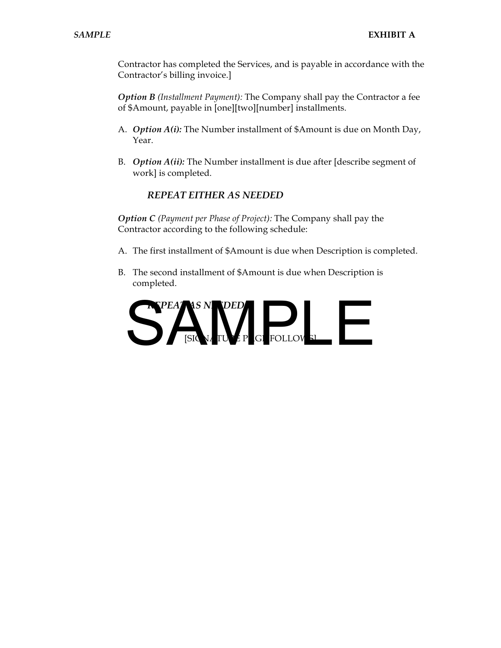Contractor has completed the Services, and is payable in accordance with the Contractor's billing invoice.]

*Option B (Installment Payment):* The Company shall pay the Contractor a fee of \$Amount, payable in [one][two][number] installments.

- A. *Option A(i):* The Number installment of \$Amount is due on Month Day, Year.
- B. *Option A(ii):* The Number installment is due after [describe segment of work] is completed.

#### *REPEAT EITHER AS NEEDED*

*Option C (Payment per Phase of Project):* The Company shall pay the Contractor according to the following schedule:

- A. The first installment of \$Amount is due when Description is completed.
- B. The second installment of \$Amount is due when Description is completed.

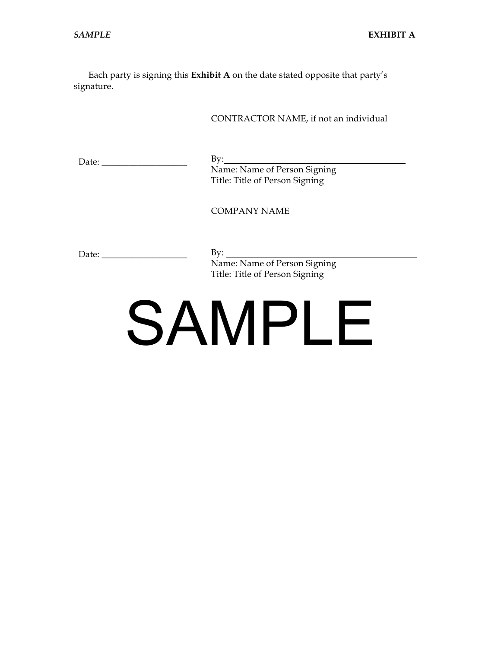Each party is signing this **Exhibit A** on the date stated opposite that party's signature.

CONTRACTOR NAME, if not an individual

Date: \_\_\_\_\_\_\_\_\_\_\_\_\_\_\_\_\_\_\_

By: Name: Name of Person Signing Title: Title of Person Signing

COMPANY NAME

Date: \_\_\_\_\_\_\_\_\_\_\_\_\_\_\_\_\_\_\_

 $By:$ Name: Name of Person Signing Title: Title of Person Signing

# SAMPLE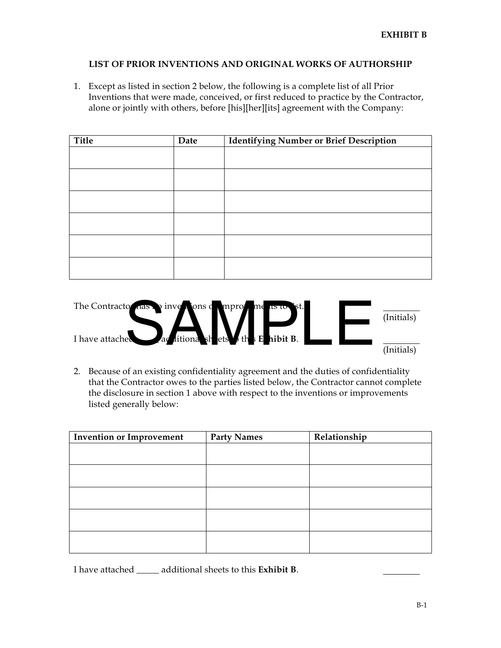#### **LIST OF PRIOR INVENTIONS AND ORIGINAL WORKS OF AUTHORSHIP**

1. Except as listed in section 2 below, the following is a complete list of all Prior Inventions that were made, conceived, or first reduced to practice by the Contractor, alone or jointly with others, before [his][her][its] agreement with the Company:

| Title | Date | <b>Identifying Number or Brief Description</b> |  |
|-------|------|------------------------------------------------|--|
|       |      |                                                |  |
|       |      |                                                |  |
|       |      |                                                |  |
|       |      |                                                |  |
|       |      |                                                |  |
|       |      |                                                |  |
|       |      |                                                |  |
|       |      |                                                |  |
|       |      |                                                |  |
|       |      |                                                |  |
|       |      |                                                |  |
|       |      |                                                |  |

The Contractor has no inventions or (Initials) I have attached (Initials) o das a inversions of mpro me us to st.

2. Because of an existing confidentiality agreement and the duties of confidentiality that the Contractor owes to the parties listed below, the Contractor cannot complete the disclosure in section 1 above with respect to the inventions or improvements listed generally below:

| Invention or Improvement | <b>Party Names</b> | Relationship |
|--------------------------|--------------------|--------------|
|                          |                    |              |
|                          |                    |              |
|                          |                    |              |
|                          |                    |              |
|                          |                    |              |
|                          |                    |              |
|                          |                    |              |
|                          |                    |              |
|                          |                    |              |
|                          |                    |              |

I have attached \_\_\_\_\_ additional sheets to this **Exhibit B**.